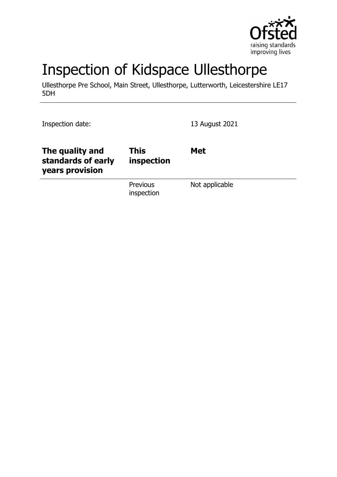

# Inspection of Kidspace Ullesthorpe

Ullesthorpe Pre School, Main Street, Ullesthorpe, Lutterworth, Leicestershire LE17 5DH

Inspection date: 13 August 2021

| The quality and<br>standards of early<br>years provision | <b>This</b><br>inspection | <b>Met</b>     |
|----------------------------------------------------------|---------------------------|----------------|
|                                                          | Previous<br>inspection    | Not applicable |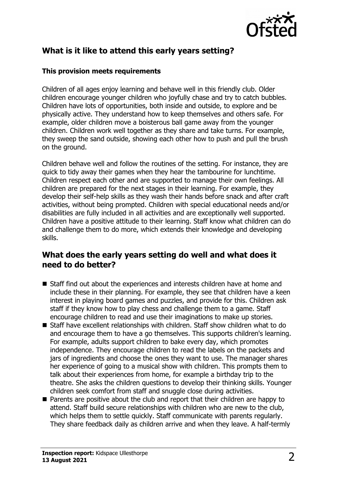

# **What is it like to attend this early years setting?**

#### **This provision meets requirements**

Children of all ages enjoy learning and behave well in this friendly club. Older children encourage younger children who joyfully chase and try to catch bubbles. Children have lots of opportunities, both inside and outside, to explore and be physically active. They understand how to keep themselves and others safe. For example, older children move a boisterous ball game away from the younger children. Children work well together as they share and take turns. For example, they sweep the sand outside, showing each other how to push and pull the brush on the ground.

Children behave well and follow the routines of the setting. For instance, they are quick to tidy away their games when they hear the tambourine for lunchtime. Children respect each other and are supported to manage their own feelings. All children are prepared for the next stages in their learning. For example, they develop their self-help skills as they wash their hands before snack and after craft activities, without being prompted. Children with special educational needs and/or disabilities are fully included in all activities and are exceptionally well supported. Children have a positive attitude to their learning. Staff know what children can do and challenge them to do more, which extends their knowledge and developing skills.

#### **What does the early years setting do well and what does it need to do better?**

- Staff find out about the experiences and interests children have at home and include these in their planning. For example, they see that children have a keen interest in playing board games and puzzles, and provide for this. Children ask staff if they know how to play chess and challenge them to a game. Staff encourage children to read and use their imaginations to make up stories.
- $\blacksquare$  Staff have excellent relationships with children. Staff show children what to do and encourage them to have a go themselves. This supports children's learning. For example, adults support children to bake every day, which promotes independence. They encourage children to read the labels on the packets and jars of ingredients and choose the ones they want to use. The manager shares her experience of going to a musical show with children. This prompts them to talk about their experiences from home, for example a birthday trip to the theatre. She asks the children questions to develop their thinking skills. Younger children seek comfort from staff and snuggle close during activities.
- $\blacksquare$  Parents are positive about the club and report that their children are happy to attend. Staff build secure relationships with children who are new to the club, which helps them to settle quickly. Staff communicate with parents regularly. They share feedback daily as children arrive and when they leave. A half-termly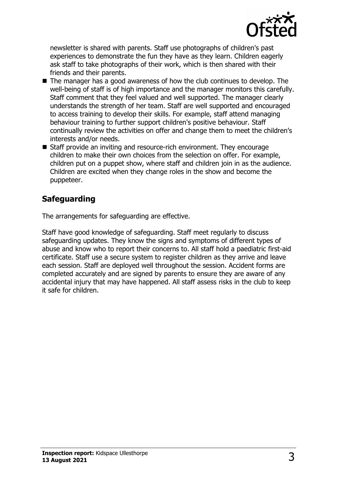

newsletter is shared with parents. Staff use photographs of children's past experiences to demonstrate the fun they have as they learn. Children eagerly ask staff to take photographs of their work, which is then shared with their friends and their parents.

- $\blacksquare$  The manager has a good awareness of how the club continues to develop. The well-being of staff is of high importance and the manager monitors this carefully. Staff comment that they feel valued and well supported. The manager clearly understands the strength of her team. Staff are well supported and encouraged to access training to develop their skills. For example, staff attend managing behaviour training to further support children's positive behaviour. Staff continually review the activities on offer and change them to meet the children's interests and/or needs.
- Staff provide an inviting and resource-rich environment. They encourage children to make their own choices from the selection on offer. For example, children put on a puppet show, where staff and children join in as the audience. Children are excited when they change roles in the show and become the puppeteer.

# **Safeguarding**

The arrangements for safeguarding are effective.

Staff have good knowledge of safeguarding. Staff meet regularly to discuss safeguarding updates. They know the signs and symptoms of different types of abuse and know who to report their concerns to. All staff hold a paediatric first-aid certificate. Staff use a secure system to register children as they arrive and leave each session. Staff are deployed well throughout the session. Accident forms are completed accurately and are signed by parents to ensure they are aware of any accidental injury that may have happened. All staff assess risks in the club to keep it safe for children.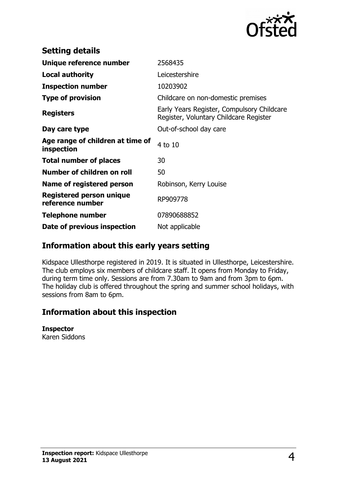

| <b>Setting details</b>                         |                                                                                      |  |
|------------------------------------------------|--------------------------------------------------------------------------------------|--|
| Unique reference number                        | 2568435                                                                              |  |
| <b>Local authority</b>                         | Leicestershire                                                                       |  |
| <b>Inspection number</b>                       | 10203902                                                                             |  |
| <b>Type of provision</b>                       | Childcare on non-domestic premises                                                   |  |
| <b>Registers</b>                               | Early Years Register, Compulsory Childcare<br>Register, Voluntary Childcare Register |  |
| Day care type                                  | Out-of-school day care                                                               |  |
| Age range of children at time of<br>inspection | 4 to 10                                                                              |  |
| <b>Total number of places</b>                  | 30                                                                                   |  |
| Number of children on roll                     | 50                                                                                   |  |
| <b>Name of registered person</b>               | Robinson, Kerry Louise                                                               |  |
| Registered person unique<br>reference number   | RP909778                                                                             |  |
| <b>Telephone number</b>                        | 07890688852                                                                          |  |
| Date of previous inspection                    | Not applicable                                                                       |  |

## **Information about this early years setting**

Kidspace Ullesthorpe registered in 2019. It is situated in Ullesthorpe, Leicestershire. The club employs six members of childcare staff. It opens from Monday to Friday, during term time only. Sessions are from 7.30am to 9am and from 3pm to 6pm. The holiday club is offered throughout the spring and summer school holidays, with sessions from 8am to 6pm.

## **Information about this inspection**

#### **Inspector**

Karen Siddons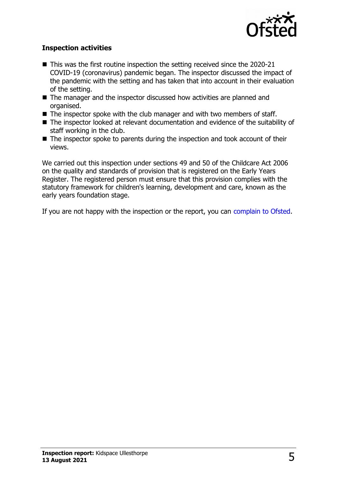

#### **Inspection activities**

- $\blacksquare$  This was the first routine inspection the setting received since the 2020-21 COVID-19 (coronavirus) pandemic began. The inspector discussed the impact of the pandemic with the setting and has taken that into account in their evaluation of the setting.
- $\blacksquare$  The manager and the inspector discussed how activities are planned and organised.
- $\blacksquare$  The inspector spoke with the club manager and with two members of staff.
- The inspector looked at relevant documentation and evidence of the suitability of staff working in the club.
- $\blacksquare$  The inspector spoke to parents during the inspection and took account of their views.

We carried out this inspection under sections 49 and 50 of the Childcare Act 2006 on the quality and standards of provision that is registered on the Early Years Register. The registered person must ensure that this provision complies with the statutory framework for children's learning, development and care, known as the early years foundation stage.

If you are not happy with the inspection or the report, you can [complain to Ofsted.](http://www.gov.uk/complain-ofsted-report)